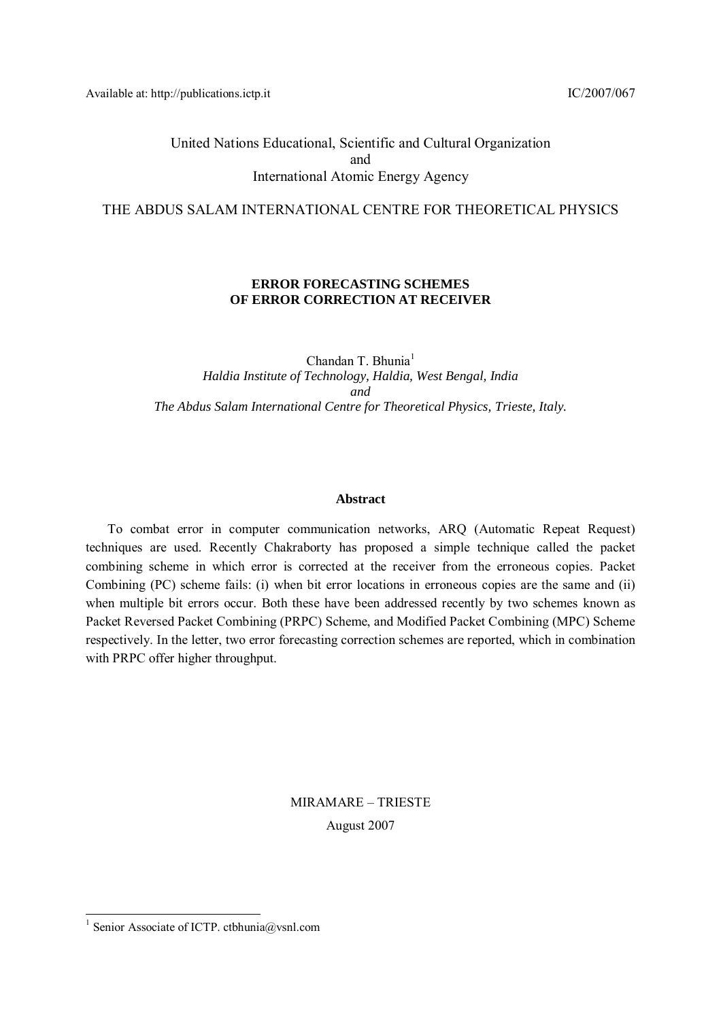Available at: http://publications.ictp.it IC/2007/067

United Nations Educational, Scientific and Cultural Organization and International Atomic Energy Agency

THE ABDUS SALAM INTERNATIONAL CENTRE FOR THEORETICAL PHYSICS

## **ERROR FORECASTING SCHEMES OF ERROR CORRECTION AT RECEIVER**

Chandan T. Bhunia<sup>1</sup> *Haldia Institute of Technology, Haldia, West Bengal, India and The Abdus Salam International Centre for Theoretical Physics, Trieste, Italy.* 

#### **Abstract**

To combat error in computer communication networks, ARQ (Automatic Repeat Request) techniques are used. Recently Chakraborty has proposed a simple technique called the packet combining scheme in which error is corrected at the receiver from the erroneous copies. Packet Combining (PC) scheme fails: (i) when bit error locations in erroneous copies are the same and (ii) when multiple bit errors occur. Both these have been addressed recently by two schemes known as Packet Reversed Packet Combining (PRPC) Scheme, and Modified Packet Combining (MPC) Scheme respectively. In the letter, two error forecasting correction schemes are reported, which in combination with PRPC offer higher throughput.

> MIRAMARE – TRIESTE August 2007

l

<sup>&</sup>lt;sup>1</sup> Senior Associate of ICTP. ctbhunia@vsnl.com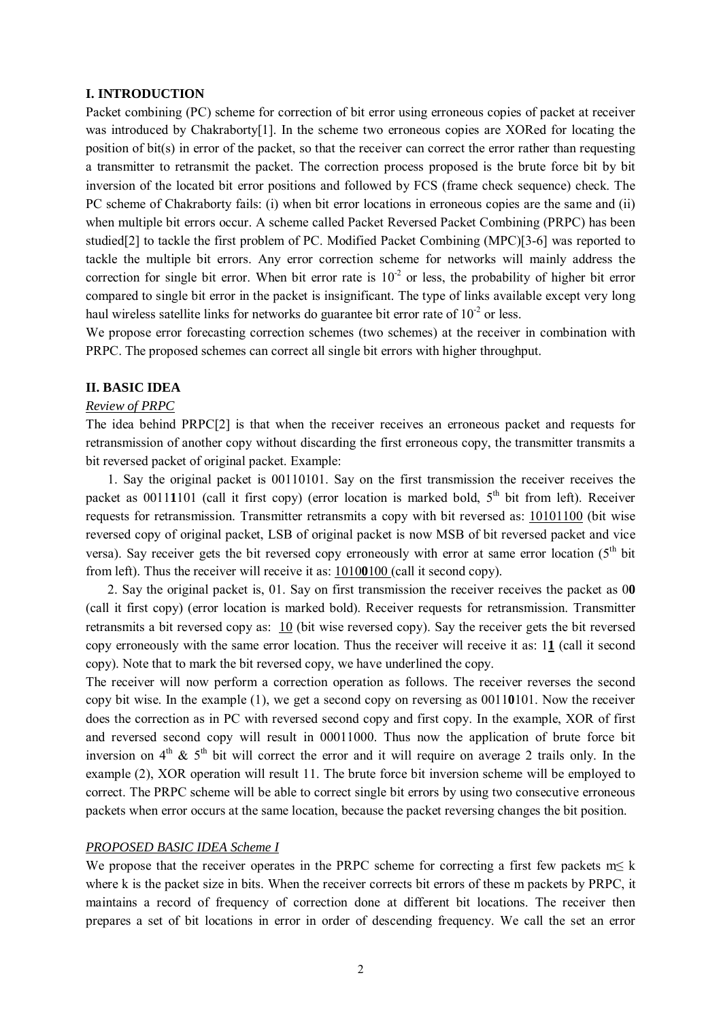#### **I. INTRODUCTION**

Packet combining (PC) scheme for correction of bit error using erroneous copies of packet at receiver was introduced by Chakraborty[1]. In the scheme two erroneous copies are XORed for locating the position of bit(s) in error of the packet, so that the receiver can correct the error rather than requesting a transmitter to retransmit the packet. The correction process proposed is the brute force bit by bit inversion of the located bit error positions and followed by FCS (frame check sequence) check. The PC scheme of Chakraborty fails: (i) when bit error locations in erroneous copies are the same and (ii) when multiple bit errors occur. A scheme called Packet Reversed Packet Combining (PRPC) has been studied[2] to tackle the first problem of PC. Modified Packet Combining (MPC)[3-6] was reported to tackle the multiple bit errors. Any error correction scheme for networks will mainly address the correction for single bit error. When bit error rate is  $10^{-2}$  or less, the probability of higher bit error compared to single bit error in the packet is insignificant. The type of links available except very long haul wireless satellite links for networks do guarantee bit error rate of  $10^{-2}$  or less.

We propose error forecasting correction schemes (two schemes) at the receiver in combination with PRPC. The proposed schemes can correct all single bit errors with higher throughput.

#### **II. BASIC IDEA**

#### *Review of PRPC*

The idea behind PRPC[2] is that when the receiver receives an erroneous packet and requests for retransmission of another copy without discarding the first erroneous copy, the transmitter transmits a bit reversed packet of original packet. Example:

1. Say the original packet is 00110101. Say on the first transmission the receiver receives the packet as  $00111101$  (call it first copy) (error location is marked bold,  $5<sup>th</sup>$  bit from left). Receiver requests for retransmission. Transmitter retransmits a copy with bit reversed as: 10101100 (bit wise reversed copy of original packet, LSB of original packet is now MSB of bit reversed packet and vice versa). Say receiver gets the bit reversed copy erroneously with error at same error location ( $5<sup>th</sup>$  bit from left). Thus the receiver will receive it as: 1010**0**100 (call it second copy).

2. Say the original packet is, 01. Say on first transmission the receiver receives the packet as 0**0** (call it first copy) (error location is marked bold). Receiver requests for retransmission. Transmitter retransmits a bit reversed copy as: 10 (bit wise reversed copy). Say the receiver gets the bit reversed copy erroneously with the same error location. Thus the receiver will receive it as: 1**1** (call it second copy). Note that to mark the bit reversed copy, we have underlined the copy.

The receiver will now perform a correction operation as follows. The receiver reverses the second copy bit wise. In the example (1), we get a second copy on reversing as 0011**0**101. Now the receiver does the correction as in PC with reversed second copy and first copy. In the example, XOR of first and reversed second copy will result in 00011000. Thus now the application of brute force bit inversion on  $4<sup>th</sup>$  &  $5<sup>th</sup>$  bit will correct the error and it will require on average 2 trails only. In the example (2), XOR operation will result 11. The brute force bit inversion scheme will be employed to correct. The PRPC scheme will be able to correct single bit errors by using two consecutive erroneous packets when error occurs at the same location, because the packet reversing changes the bit position.

#### *PROPOSED BASIC IDEA Scheme I*

We propose that the receiver operates in the PRPC scheme for correcting a first few packets  $m \leq k$ where k is the packet size in bits. When the receiver corrects bit errors of these m packets by PRPC, it maintains a record of frequency of correction done at different bit locations. The receiver then prepares a set of bit locations in error in order of descending frequency. We call the set an error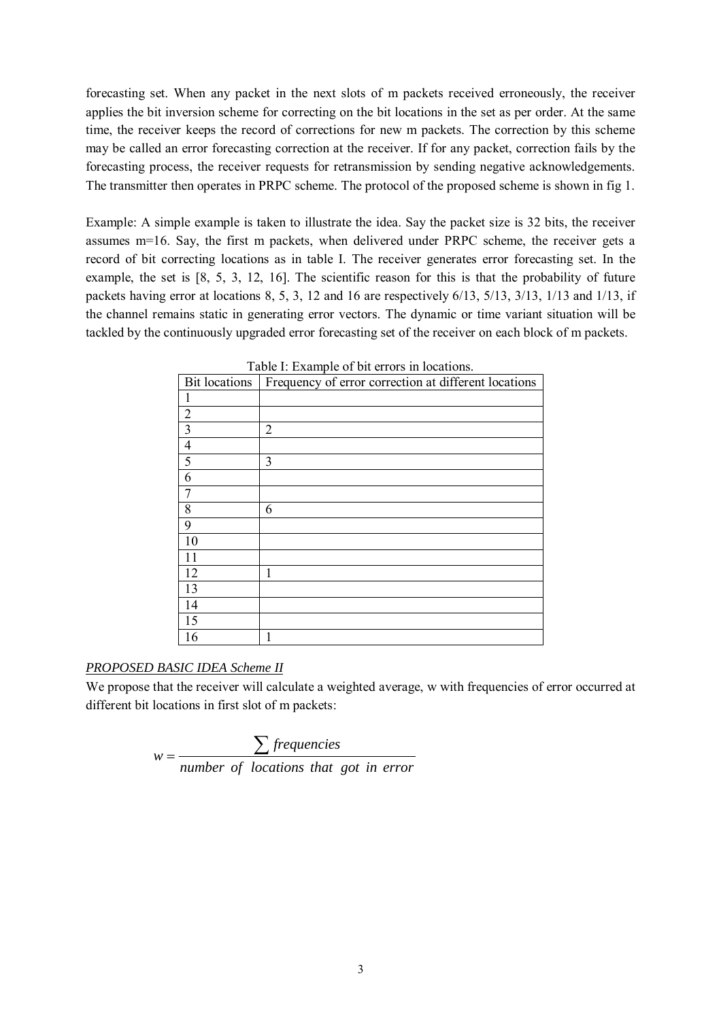forecasting set. When any packet in the next slots of m packets received erroneously, the receiver applies the bit inversion scheme for correcting on the bit locations in the set as per order. At the same time, the receiver keeps the record of corrections for new m packets. The correction by this scheme may be called an error forecasting correction at the receiver. If for any packet, correction fails by the forecasting process, the receiver requests for retransmission by sending negative acknowledgements. The transmitter then operates in PRPC scheme. The protocol of the proposed scheme is shown in fig 1.

Example: A simple example is taken to illustrate the idea. Say the packet size is 32 bits, the receiver assumes m=16. Say, the first m packets, when delivered under PRPC scheme, the receiver gets a record of bit correcting locations as in table I. The receiver generates error forecasting set. In the example, the set is [8, 5, 3, 12, 16]. The scientific reason for this is that the probability of future packets having error at locations 8, 5, 3, 12 and 16 are respectively 6/13, 5/13, 3/13, 1/13 and 1/13, if the channel remains static in generating error vectors. The dynamic or time variant situation will be tackled by the continuously upgraded error forecasting set of the receiver on each block of m packets.

|                | Bit locations   Frequency of error correction at different locations |
|----------------|----------------------------------------------------------------------|
|                |                                                                      |
| $\overline{2}$ |                                                                      |
| $\overline{3}$ | $\overline{2}$                                                       |
| $\overline{4}$ |                                                                      |
| 5              | 3                                                                    |
| 6              |                                                                      |
| 7              |                                                                      |
| 8              | 6                                                                    |
| 9              |                                                                      |
| 10             |                                                                      |
| 11             |                                                                      |
| 12             | 1                                                                    |
| 13             |                                                                      |
| 14             |                                                                      |
| 15             |                                                                      |
| 16             | 1                                                                    |

Table I: Example of bit errors in locations.

# *PROPOSED BASIC IDEA Scheme II*

We propose that the receiver will calculate a weighted average, w with frequencies of error occurred at different bit locations in first slot of m packets:

$$
w = \frac{\sum frequencies}{number of locations that got in error}
$$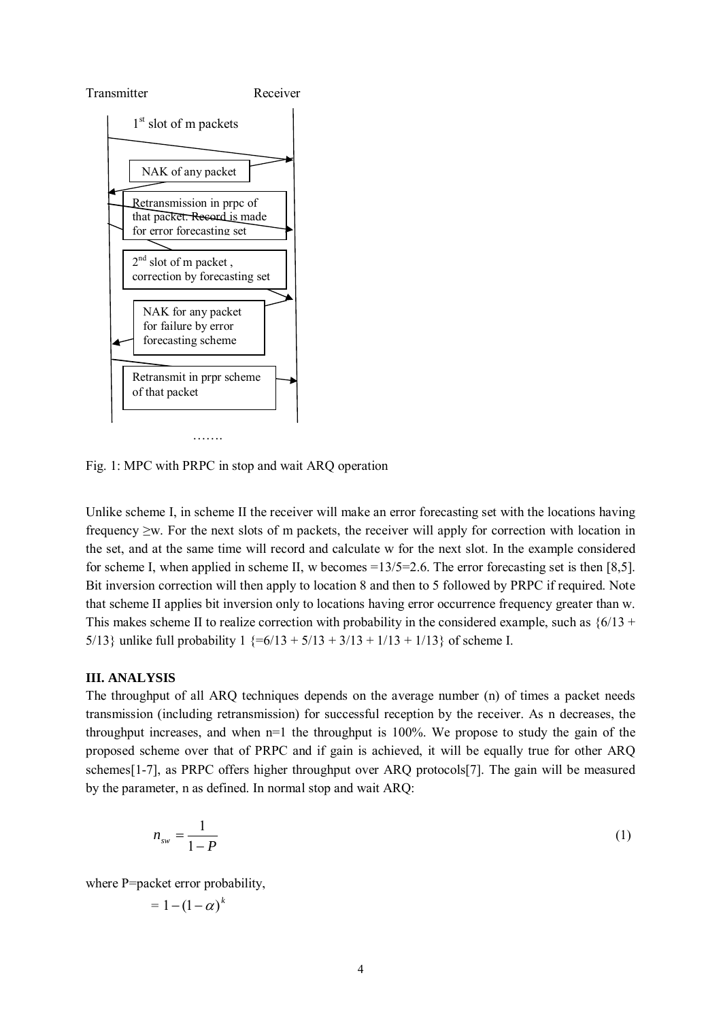

Fig. 1: MPC with PRPC in stop and wait ARQ operation

Unlike scheme I, in scheme II the receiver will make an error forecasting set with the locations having frequency ≥w. For the next slots of m packets, the receiver will apply for correction with location in the set, and at the same time will record and calculate w for the next slot. In the example considered for scheme I, when applied in scheme II, w becomes  $=13/5=2.6$ . The error forecasting set is then [8.5]. Bit inversion correction will then apply to location 8 and then to 5 followed by PRPC if required. Note that scheme II applies bit inversion only to locations having error occurrence frequency greater than w. This makes scheme II to realize correction with probability in the considered example, such as  $\{6/13 + \dots\}$ 5/13} unlike full probability  $1$  {=6/13 + 5/13 + 3/13 + 1/13 + 1/13} of scheme I.

## **III. ANALYSIS**

The throughput of all ARQ techniques depends on the average number (n) of times a packet needs transmission (including retransmission) for successful reception by the receiver. As n decreases, the throughput increases, and when n=1 the throughput is 100%. We propose to study the gain of the proposed scheme over that of PRPC and if gain is achieved, it will be equally true for other ARQ schemes[1-7], as PRPC offers higher throughput over ARQ protocols[7]. The gain will be measured by the parameter, n as defined. In normal stop and wait ARQ:

$$
n_{\rm sw} = \frac{1}{1 - P} \tag{1}
$$

where P=packet error probability,

$$
=1-(1-\alpha)^k
$$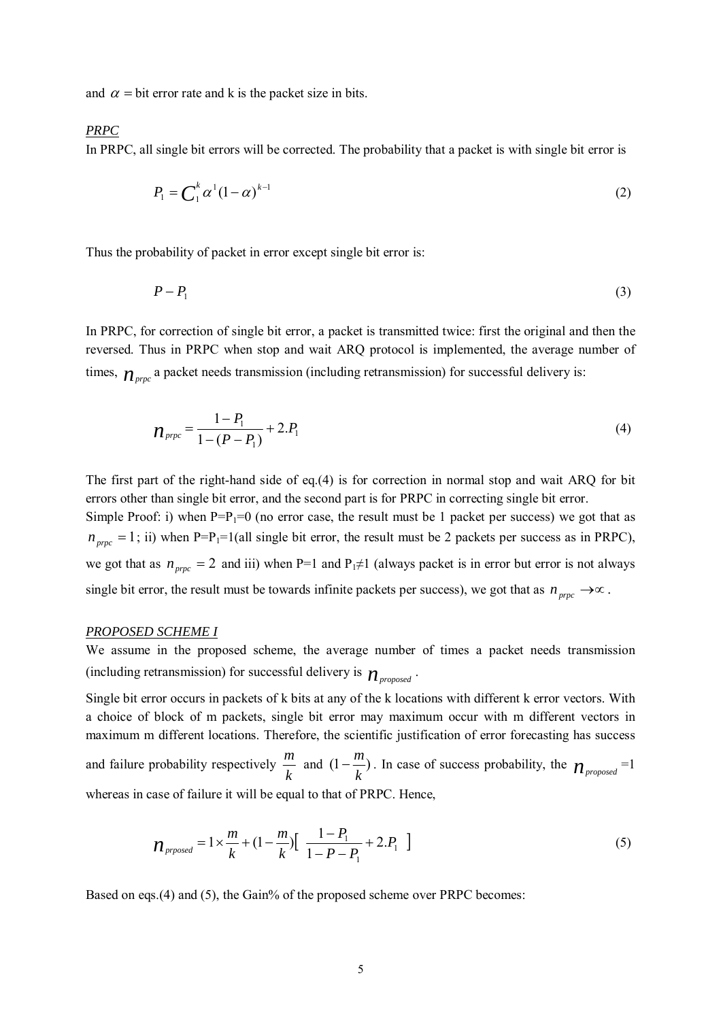and  $\alpha$  = bit error rate and k is the packet size in bits.

## *PRPC*

In PRPC, all single bit errors will be corrected. The probability that a packet is with single bit error is

$$
P_1 = \mathbf{C}_1^k \alpha^1 (1 - \alpha)^{k-1} \tag{2}
$$

Thus the probability of packet in error except single bit error is:

$$
P - P_1 \tag{3}
$$

In PRPC, for correction of single bit error, a packet is transmitted twice: first the original and then the reversed. Thus in PRPC when stop and wait ARQ protocol is implemented, the average number of times,  $n_{\text{prec}}$  a packet needs transmission (including retransmission) for successful delivery is:

$$
n_{\text{prpc}} = \frac{1 - P_1}{1 - (P - P_1)} + 2.P_1 \tag{4}
$$

The first part of the right-hand side of eq.(4) is for correction in normal stop and wait ARQ for bit errors other than single bit error, and the second part is for PRPC in correcting single bit error.

Simple Proof: i) when  $P=P_1=0$  (no error case, the result must be 1 packet per success) we got that as  $n_{prpc} = 1$ ; ii) when P=P<sub>1</sub>=1(all single bit error, the result must be 2 packets per success as in PRPC), we got that as  $n_{prc} = 2$  and iii) when P=1 and P<sub>1</sub>≠1 (always packet is in error but error is not always single bit error, the result must be towards infinite packets per success), we got that as  $n_{prpc} \rightarrow \infty$ .

#### *PROPOSED SCHEME I*

We assume in the proposed scheme, the average number of times a packet needs transmission (including retransmission) for successful delivery is  $n_{proposed}$ .

Single bit error occurs in packets of k bits at any of the k locations with different k error vectors. With a choice of block of m packets, single bit error may maximum occur with m different vectors in maximum m different locations. Therefore, the scientific justification of error forecasting has success and failure probability respectively  $\frac{h}{k}$  $\frac{m}{2}$  and  $(1 - \frac{m}{2})$  $-\frac{m}{k}$ ). In case of success probability, the  $n_{proposed}$ =1 whereas in case of failure it will be equal to that of PRPC. Hence,

$$
n_{\text{prosed}} = 1 \times \frac{m}{k} + (1 - \frac{m}{k}) \left[ \frac{1 - P_1}{1 - P - P_1} + 2 P_1 \right] \tag{5}
$$

Based on eqs.(4) and (5), the Gain% of the proposed scheme over PRPC becomes: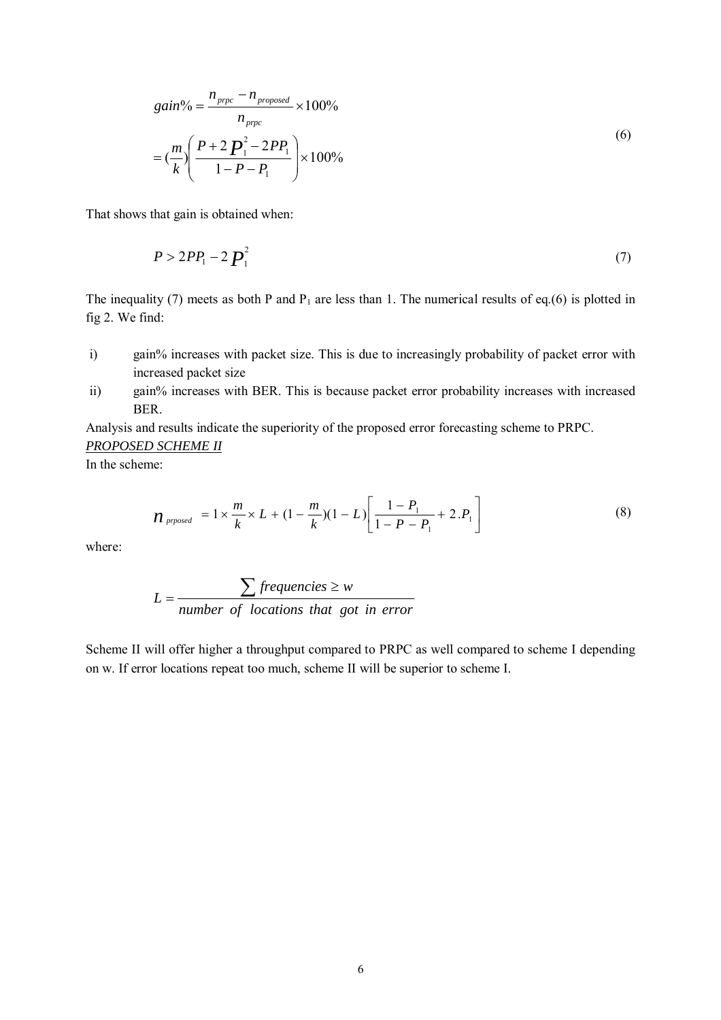$$
gain\% = \frac{n_{\text{prpc}} - n_{\text{proposed}}}{n_{\text{prpc}}} \times 100\%
$$
  
=  $\left(\frac{m}{k}\right) \left(\frac{P + 2P_1^2 - 2PP_1}{1 - P - P_1}\right) \times 100\%$  (6)

That shows that gain is obtained when:

$$
P > 2PP_1 - 2P_1^2 \tag{7}
$$

The inequality (7) meets as both P and  $P_1$  are less than 1. The numerical results of eq.(6) is plotted in fig 2. We find:

- i) gain% increases with packet size. This is due to increasingly probability of packet error with increased packet size
- ii) gain% increases with BER. This is because packet error probability increases with increased **BER**

Analysis and results indicate the superiority of the proposed error forecasting scheme to PRPC.

#### *PROPOSED SCHEME II*

In the scheme:

$$
n_{\text{prosed}} = 1 \times \frac{m}{k} \times L + (1 - \frac{m}{k})(1 - L) \left[ \frac{1 - P_1}{1 - P_1} + 2 \cdot P_1 \right] \tag{8}
$$

where:

$$
L = \frac{\sum frequencies \ge w}{number of locations that got in error}
$$

Scheme II will offer higher a throughput compared to PRPC as well compared to scheme I depending on w. If error locations repeat too much, scheme II will be superior to scheme I.